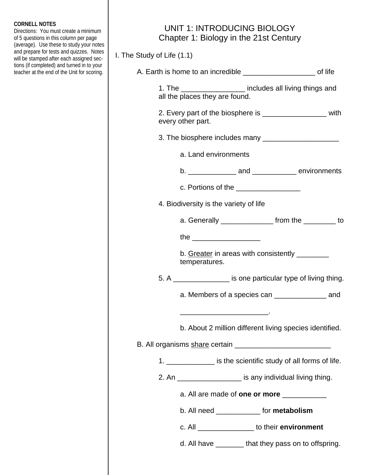## **CORNELL NOTES**

Directions: You must create a minimum of 5 questions in this column per page (average). Use these to study your notes and prepare for tests and quizzes. Notes will be stamped after each assigned sections (if completed) and turned in to your teacher at the end of the Unit for scoring.

## UNIT 1: INTRODUCING BIOLOGY Chapter 1: Biology in the 21st Century

I. The Study of Life (1.1)

| A. Earth is home to an incredible _____________________________ of life                      |
|----------------------------------------------------------------------------------------------|
| 1. The ____________________ includes all living things and<br>all the places they are found. |
| 2. Every part of the biosphere is ______________________ with<br>every other part.           |
|                                                                                              |
| a. Land environments                                                                         |
|                                                                                              |
| c. Portions of the _________________                                                         |
| 4. Biodiversity is the variety of life                                                       |
| a. Generally __________________ from the __________ to                                       |
| the __________________________                                                               |
| b. Greater in areas with consistently ________<br>temperatures.                              |
| 5. A _________________ is one particular type of living thing.                               |
| a. Members of a species can _______________________ and                                      |
| b. About 2 million different living species identified.                                      |
|                                                                                              |
| 1. ________________ is the scientific study of all forms of life.                            |
| 2. An ____________________ is any individual living thing.                                   |
| a. All are made of one or more __________                                                    |
| b. All need ______________ for metabolism                                                    |
| c. All __________________ to their environment                                               |
| d. All have ________that they pass on to offspring.                                          |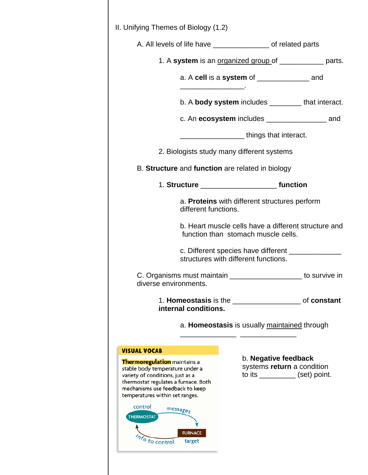| II. Unifying Themes of Biology (1.2)                                                                                                                                                                                                                                                |                                      |                                                                 |                                                                                        |
|-------------------------------------------------------------------------------------------------------------------------------------------------------------------------------------------------------------------------------------------------------------------------------------|--------------------------------------|-----------------------------------------------------------------|----------------------------------------------------------------------------------------|
|                                                                                                                                                                                                                                                                                     |                                      | A. All levels of life have ___________________ of related parts |                                                                                        |
|                                                                                                                                                                                                                                                                                     |                                      |                                                                 | 1. A system is an organized group of _____________ parts.                              |
|                                                                                                                                                                                                                                                                                     |                                      | a. A cell is a system of _________________ and                  |                                                                                        |
|                                                                                                                                                                                                                                                                                     |                                      |                                                                 | b. A body system includes ________ that interact.                                      |
|                                                                                                                                                                                                                                                                                     |                                      |                                                                 |                                                                                        |
|                                                                                                                                                                                                                                                                                     |                                      | <u>____________________</u> things that interact.               |                                                                                        |
|                                                                                                                                                                                                                                                                                     |                                      | 2. Biologists study many different systems                      |                                                                                        |
|                                                                                                                                                                                                                                                                                     |                                      | B. Structure and function are related in biology                |                                                                                        |
|                                                                                                                                                                                                                                                                                     |                                      |                                                                 |                                                                                        |
|                                                                                                                                                                                                                                                                                     | different functions.                 | a. Proteins with different structures perform                   |                                                                                        |
|                                                                                                                                                                                                                                                                                     |                                      | function than stomach muscle cells.                             | b. Heart muscle cells have a different structure and                                   |
|                                                                                                                                                                                                                                                                                     |                                      | structures with different functions.                            |                                                                                        |
| diverse environments.                                                                                                                                                                                                                                                               |                                      |                                                                 | C. Organisms must maintain ______________________ to survive in                        |
|                                                                                                                                                                                                                                                                                     | internal conditions.                 |                                                                 | 1. Homeostasis is the subset of constant                                               |
|                                                                                                                                                                                                                                                                                     |                                      | a. Homeostasis is usually maintained through                    |                                                                                        |
| <b>VISUAL VOCAB</b>                                                                                                                                                                                                                                                                 |                                      |                                                                 |                                                                                        |
| <b>Thermoregulation</b> maintains a<br>stable body temperature under a<br>variety of conditions, just as a<br>thermostat regulates a furnace. Both<br>mechanisms use feedback to keep<br>temperatures within set ranges.<br>control<br><b>THERMOSTAT</b><br><sup>7</sup> fo control | messages<br><b>FURNACE</b><br>target |                                                                 | b. Negative feedback<br>systems return a condition<br>to its ____________ (set) point. |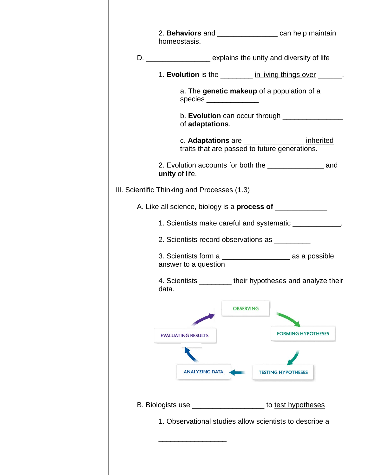| homeostasis.                                                         |                                                                       | 2. Behaviors and ______________________ can help maintain      |
|----------------------------------------------------------------------|-----------------------------------------------------------------------|----------------------------------------------------------------|
| D. ________________________ explains the unity and diversity of life |                                                                       |                                                                |
|                                                                      |                                                                       | 1. Evolution is the __________ in living things over ______.   |
|                                                                      | a. The genetic makeup of a population of a<br>species _______________ |                                                                |
| of adaptations.                                                      |                                                                       | b. Evolution can occur through _________________               |
|                                                                      | traits that are passed to future generations.                         | c. Adaptations are __________________ inherited                |
| unity of life.                                                       |                                                                       | 2. Evolution accounts for both the _______________________ and |
| III. Scientific Thinking and Processes (1.3)                         |                                                                       |                                                                |
|                                                                      |                                                                       |                                                                |
|                                                                      |                                                                       | 1. Scientists make careful and systematic ____________.        |
| 2. Scientists record observations as _________                       |                                                                       |                                                                |
| answer to a question                                                 |                                                                       | 3. Scientists form a __________________________ as a possible  |
| data.                                                                |                                                                       | 4. Scientists ________ their hypotheses and analyze their      |
|                                                                      | <b>OBSERVING</b>                                                      |                                                                |
| <b>EVALUATING RESULTS</b>                                            |                                                                       | <b>FORMING HYPOTHESES</b>                                      |
| <b>ANALYZING DATA</b>                                                |                                                                       | <b>TESTING HYPOTHESES</b>                                      |
| <b>B.</b> Biologists use                                             |                                                                       | to test hypotheses                                             |
|                                                                      |                                                                       | 1. Observational studies allow scientists to describe a        |
|                                                                      |                                                                       |                                                                |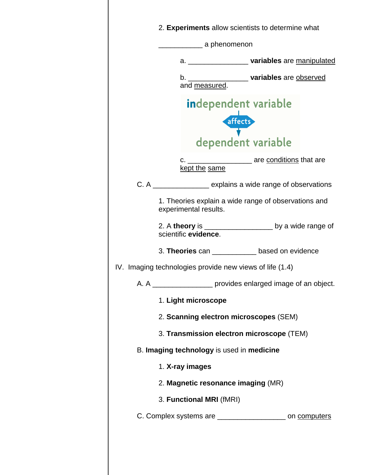|  | 2. Experiments allow scientists to determine what                             |                               |                                                                  |
|--|-------------------------------------------------------------------------------|-------------------------------|------------------------------------------------------------------|
|  | _________ a phenomenon                                                        |                               |                                                                  |
|  |                                                                               |                               | a. _______________________ variables are manipulated             |
|  | b. ________________________variables are observed and measured.               |                               |                                                                  |
|  | <b>independent variable</b>                                                   | affects<br>dependent variable |                                                                  |
|  |                                                                               |                               |                                                                  |
|  | c. ________________________ are conditions that are<br>kept the same          |                               |                                                                  |
|  |                                                                               |                               | C. A ___________________ explains a wide range of observations   |
|  | 1. Theories explain a wide range of observations and<br>experimental results. |                               |                                                                  |
|  | scientific evidence.                                                          |                               | 2. A theory is _____________________ by a wide range of          |
|  | 3. Theories can ____________ based on evidence                                |                               |                                                                  |
|  | IV. Imaging technologies provide new views of life (1.4)                      |                               |                                                                  |
|  |                                                                               |                               | A. A _____________________ provides enlarged image of an object. |
|  | 1. Light microscope                                                           |                               |                                                                  |
|  | 2. Scanning electron microscopes (SEM)                                        |                               |                                                                  |
|  | 3. Transmission electron microscope (TEM)                                     |                               |                                                                  |
|  | B. Imaging technology is used in medicine                                     |                               |                                                                  |
|  | 1. X-ray images                                                               |                               |                                                                  |
|  | 2. Magnetic resonance imaging (MR)                                            |                               |                                                                  |
|  | 3. Functional MRI (fMRI)                                                      |                               |                                                                  |
|  |                                                                               |                               | C. Complex systems are ______________________ on computers       |
|  |                                                                               |                               |                                                                  |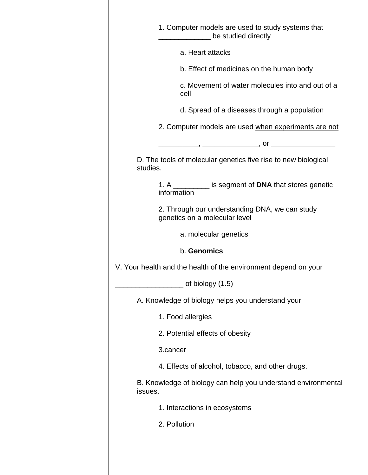| 1. Computer models are used to study systems that<br>Letter Lines be studied directly |
|---------------------------------------------------------------------------------------|
| a. Heart attacks                                                                      |
| b. Effect of medicines on the human body                                              |
| c. Movement of water molecules into and out of a<br>cell                              |
| d. Spread of a diseases through a population                                          |
| 2. Computer models are used when experiments are not                                  |
|                                                                                       |
| D. The tools of molecular genetics five rise to new biological<br>studies.            |
| 1. A __________ is segment of DNA that stores genetic<br>information                  |
| 2. Through our understanding DNA, we can study<br>genetics on a molecular level       |
| a. molecular genetics                                                                 |
| b. Genomics                                                                           |
| V. Your health and the health of the environment depend on your                       |
| of biology (1.5)                                                                      |
| A. Knowledge of biology helps you understand your ______                              |
| 1. Food allergies                                                                     |
| 2. Potential effects of obesity                                                       |
| 3.cancer                                                                              |
| 4. Effects of alcohol, tobacco, and other drugs.                                      |
| B. Knowledge of biology can help you understand environmental<br>issues.              |
| 1. Interactions in ecosystems                                                         |
| 2. Pollution                                                                          |
|                                                                                       |